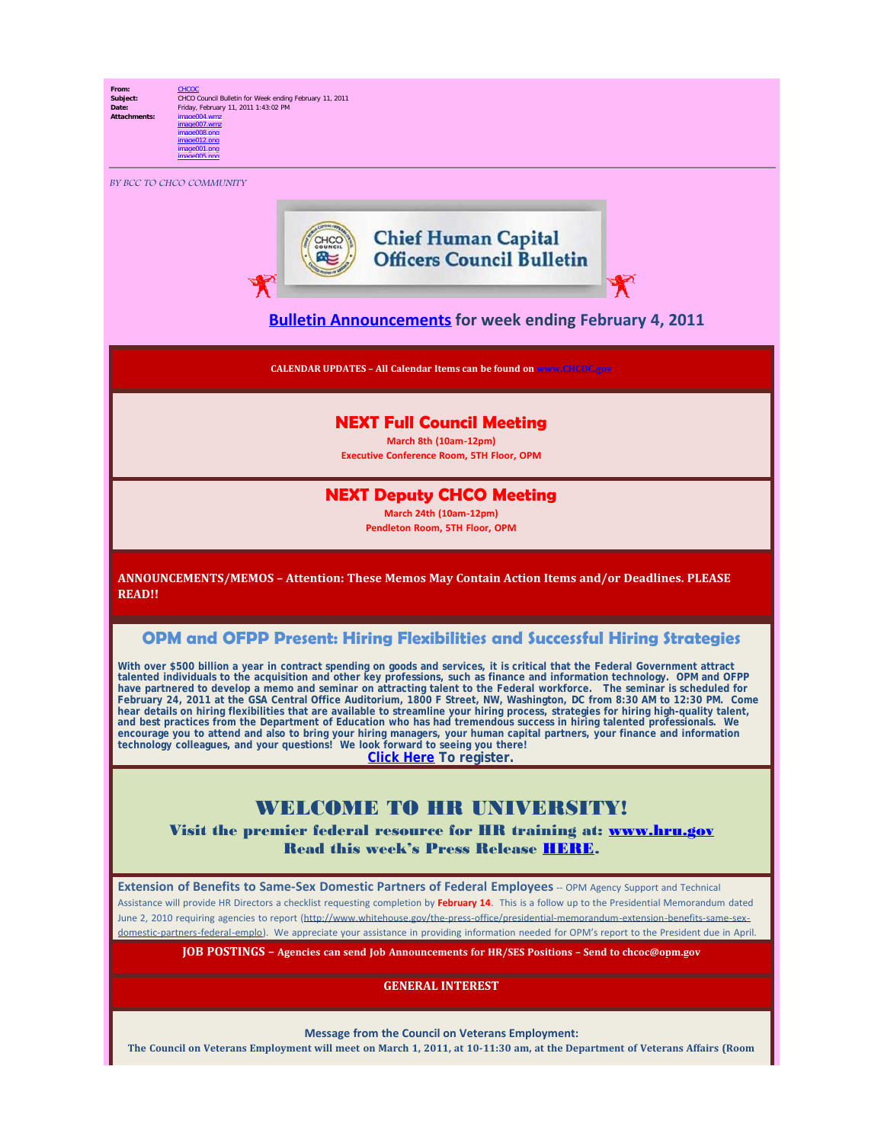## **From:** [CHCOC](mailto:/O=OPM/OU=EXCHANGE ADMINISTRATIVE GROUP (FYDIBOHF23SPDLT)/CN=RECIPIENTS/CN=CHCOC)

**Subject:** CHCO Council Bulletin for Week ending February 11, 2011<br>Date: Friday, February 11, 2011 1:43:02 PM **Date:** Friday, February 11, 2011 1:43:02 PM<br>Attachments: image004.wmz **Attachments:** image004.wmz image007.wmz image008.png

BY BCC TO CHCO COMMUNITY

image012.png image001.png image005.png



### **[Bulletin Announcements](http://chcoc.gov/Transmittals/Index.aspx) for week ending February 4, 2011**

**CALENDAR UPDATES – All Calendar Items can be found on [www.CHCOC.gov](http://www.chcoc.gov/)**

### **NEXT Full Council Meeting**

**March 8th (10am-12pm) Executive Conference Room, 5TH Floor, OPM**

#### **NEXT Deputy CHCO Meeting**

**March 24th (10am-12pm) Pendleton Room, 5TH Floor, OPM**

**ANNOUNCEMENTS/MEMOS – Attention: These Memos May Contain Action Items and/or Deadlines. PLEASE READ!!**

#### **OPM and OFPP Present: Hiring Flexibilities and Successful Hiring Strategies**

With over \$500 billion a year in contract spending on goods and services, it is critical that the Federal Government attract talented individuals to the acquisition and other key professions, such as finance and information technology. OPM and OFPP have partnered to develop a memo and seminar on attracting talent to the Federal workforce. The seminar is scheduled for February 24, 2011 at the GSA Central Office Auditorium, 1800 F Street, NW, Washington, DC from 8:30 AM to 12:30 PM. Come hear details on hiring flexibilities that are available to streamline your hiring process, strategies for hiring high-quality talent, and best practices from the Department of Education who has had tremendous success in hiring talented professionals. We encourage you to attend and also to bring your hiring managers, your human capital partners, your finance and information<br>technology colleagues, and your questions! We look forward to seeing you there!

**Click [Here](http://acquisitiontalentseminar.eventbrite.com/) To register.**

# WELCOME TO HR UNIVERSITY

Visit the premier federal resource for HR training at: [www.hru.gov](http://www.hru.gov/) Read this week's Press Release [HERE](http://www.opm.gov/news/chco-council-and-opm-launch-phase-one-of-human-resources-university,1639.aspx).

**Extension of Benefits to Same-Sex Domestic Partners of Federal Employees** -- OPM Agency Support and Technical Assistance will provide HR Directors a checklist requesting completion by **February 14**. This is a follow up to the Presidential Memorandum dated June 2, 2010 requiring agencies to report [\(http://www.whitehouse.gov/the-press-office/presidential-memorandum-extension-benefits-same-sex](http://www.whitehouse.gov/the-press-office/presidential-memorandum-extension-benefits-same-sex-domestic-partners-federal-emplo)[domestic-partners-federal-emplo\)](http://www.whitehouse.gov/the-press-office/presidential-memorandum-extension-benefits-same-sex-domestic-partners-federal-emplo). We appreciate your assistance in providing information needed for OPM's report to the President due in April.

**JOB POSTINGS – Agencies can send Job Announcements for HR/SES Positions – Send to [chcoc@opm.gov](mailto:chcoc@opm.gov)**

**GENERAL INTEREST**

**Message from the Council on Veterans Employment:**

**The Council on Veterans Employment will meet on March 1, 2011, at 10-11:30 am, at the Department of Veterans Affairs (Room**